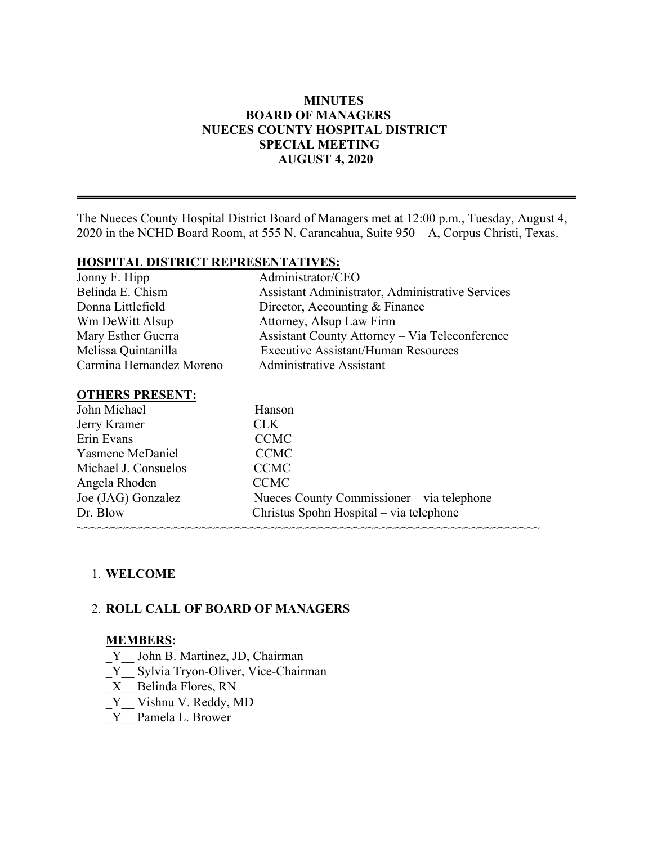# **MINUTES BOARD OF MANAGERS NUECES COUNTY HOSPITAL DISTRICT SPECIAL MEETING AUGUST 4, 2020**

The Nueces County Hospital District Board of Managers met at 12:00 p.m., Tuesday, August 4, 2020 in the NCHD Board Room, at 555 N. Carancahua, Suite 950 – A, Corpus Christi, Texas.

#### **HOSPITAL DISTRICT REPRESENTATIVES:**

| Jonny F. Hipp            | Administrator/CEO                                     |
|--------------------------|-------------------------------------------------------|
| Belinda E. Chism         | Assistant Administrator, Administrative Services      |
| Donna Littlefield        | Director, Accounting & Finance                        |
| Wm DeWitt Alsup          | Attorney, Alsup Law Firm                              |
| Mary Esther Guerra       | <b>Assistant County Attorney – Via Teleconference</b> |
| Melissa Quintanilla      | <b>Executive Assistant/Human Resources</b>            |
| Carmina Hernandez Moreno | <b>Administrative Assistant</b>                       |

#### **OTHERS PRESENT:**

| John Michael         | Hanson                                     |
|----------------------|--------------------------------------------|
| Jerry Kramer         | CLK.                                       |
| Erin Evans           | <b>CCMC</b>                                |
| Yasmene McDaniel     | <b>CCMC</b>                                |
| Michael J. Consuelos | <b>CCMC</b>                                |
| Angela Rhoden        | <b>CCMC</b>                                |
| Joe (JAG) Gonzalez   | Nueces County Commissioner – via telephone |
| Dr. Blow             | Christus Spohn Hospital – via telephone    |
|                      |                                            |

## 1. **WELCOME**

## 2. **ROLL CALL OF BOARD OF MANAGERS**

#### **MEMBERS:**

- Y John B. Martinez, JD, Chairman
- Y Sylvia Tryon-Oliver, Vice-Chairman
- \_X\_\_ Belinda Flores, RN
- \_Y\_\_ Vishnu V. Reddy, MD
- \_Y\_\_ Pamela L. Brower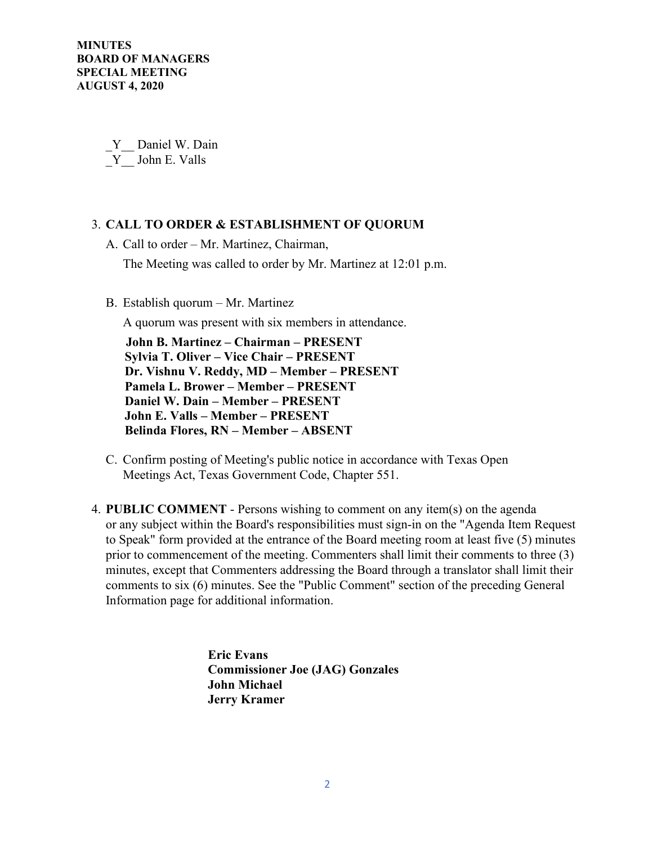**MINUTES BOARD OF MANAGERS SPECIAL MEETING AUGUST 4, 2020** 

> Y Daniel W. Dain \_Y\_\_ John E. Valls

#### 3. **CALL TO ORDER & ESTABLISHMENT OF QUORUM**

A. Call to order – Mr. Martinez, Chairman,

The Meeting was called to order by Mr. Martinez at 12:01 p.m.

B. Establish quorum – Mr. Martinez

A quorum was present with six members in attendance.

 **John B. Martinez – Chairman – PRESENT Sylvia T. Oliver – Vice Chair – PRESENT Dr. Vishnu V. Reddy, MD – Member – PRESENT Pamela L. Brower – Member – PRESENT Daniel W. Dain – Member – PRESENT John E. Valls – Member – PRESENT Belinda Flores, RN – Member – ABSENT** 

- C. Confirm posting of Meeting's public notice in accordance with Texas Open Meetings Act, Texas Government Code, Chapter 551.
- 4. **PUBLIC COMMENT** Persons wishing to comment on any item(s) on the agenda or any subject within the Board's responsibilities must sign-in on the "Agenda Item Request to Speak" form provided at the entrance of the Board meeting room at least five (5) minutes prior to commencement of the meeting. Commenters shall limit their comments to three (3) minutes, except that Commenters addressing the Board through a translator shall limit their comments to six (6) minutes. See the "Public Comment" section of the preceding General Information page for additional information.

 **Eric Evans Commissioner Joe (JAG) Gonzales John Michael Jerry Kramer**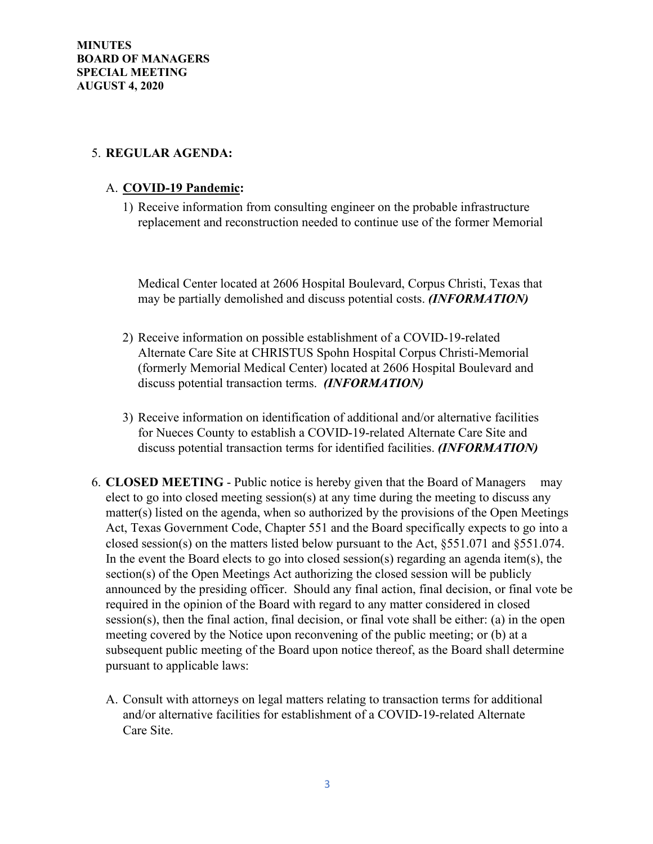# 5. **REGULAR AGENDA:**

## A. **COVID-19 Pandemic:**

1) Receive information from consulting engineer on the probable infrastructure replacement and reconstruction needed to continue use of the former Memorial

Medical Center located at 2606 Hospital Boulevard, Corpus Christi, Texas that may be partially demolished and discuss potential costs. *(INFORMATION)*

- 2) Receive information on possible establishment of a COVID-19-related Alternate Care Site at CHRISTUS Spohn Hospital Corpus Christi-Memorial (formerly Memorial Medical Center) located at 2606 Hospital Boulevard and discuss potential transaction terms. *(INFORMATION)*
- 3) Receive information on identification of additional and/or alternative facilities for Nueces County to establish a COVID-19-related Alternate Care Site and discuss potential transaction terms for identified facilities. *(INFORMATION)*
- 6. **CLOSED MEETING** Public notice is hereby given that the Board of Managers may elect to go into closed meeting session(s) at any time during the meeting to discuss any matter(s) listed on the agenda, when so authorized by the provisions of the Open Meetings Act, Texas Government Code, Chapter 551 and the Board specifically expects to go into a closed session(s) on the matters listed below pursuant to the Act, §551.071 and §551.074. In the event the Board elects to go into closed session(s) regarding an agenda item(s), the section(s) of the Open Meetings Act authorizing the closed session will be publicly announced by the presiding officer. Should any final action, final decision, or final vote be required in the opinion of the Board with regard to any matter considered in closed session(s), then the final action, final decision, or final vote shall be either: (a) in the open meeting covered by the Notice upon reconvening of the public meeting; or (b) at a subsequent public meeting of the Board upon notice thereof, as the Board shall determine pursuant to applicable laws:
	- A. Consult with attorneys on legal matters relating to transaction terms for additional and/or alternative facilities for establishment of a COVID-19-related Alternate Care Site.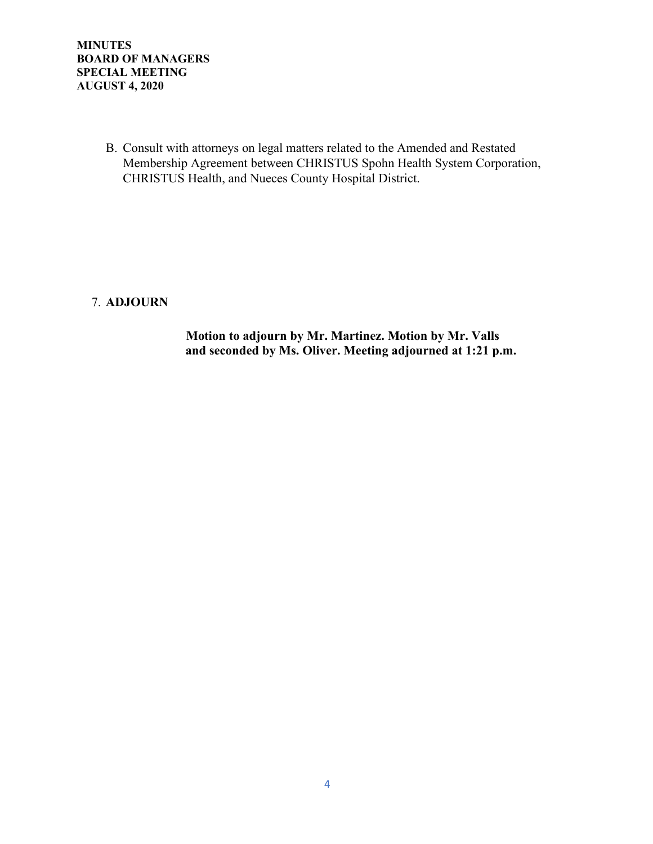B. Consult with attorneys on legal matters related to the Amended and Restated Membership Agreement between CHRISTUS Spohn Health System Corporation, CHRISTUS Health, and Nueces County Hospital District.

# 7. **ADJOURN**

 **Motion to adjourn by Mr. Martinez. Motion by Mr. Valls and seconded by Ms. Oliver. Meeting adjourned at 1:21 p.m.**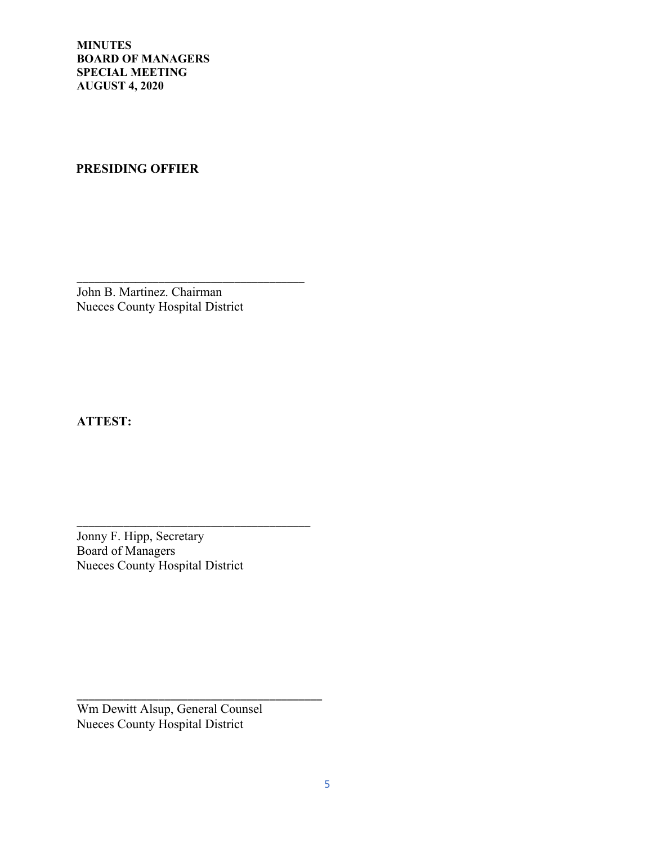**MINUTES BOARD OF MANAGERS SPECIAL MEETING AUGUST 4, 2020** 

# **PRESIDING OFFIER**

John B. Martinez. Chairman Nueces County Hospital District

\_\_\_\_\_\_\_\_\_\_\_\_\_\_\_\_\_\_\_\_\_\_\_\_\_\_\_\_\_\_\_\_\_\_\_\_\_\_\_

**ATTEST:** 

Jonny F. Hipp, Secretary Board of Managers Nueces County Hospital District

\_\_\_\_\_\_\_\_\_\_\_\_\_\_\_\_\_\_\_\_\_\_\_\_\_\_\_\_\_\_\_\_\_\_\_\_\_\_\_\_

Wm Dewitt Alsup, General Counsel Nueces County Hospital District

\_\_\_\_\_\_\_\_\_\_\_\_\_\_\_\_\_\_\_\_\_\_\_\_\_\_\_\_\_\_\_\_\_\_\_\_\_\_\_\_\_\_